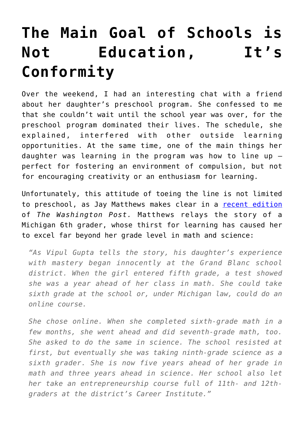## **[The Main Goal of Schools is](https://intellectualtakeout.org/2017/06/the-main-goal-of-schools-is-not-education-its-conformity/) [Not Education, It's](https://intellectualtakeout.org/2017/06/the-main-goal-of-schools-is-not-education-its-conformity/) [Conformity](https://intellectualtakeout.org/2017/06/the-main-goal-of-schools-is-not-education-its-conformity/)**

Over the weekend, I had an interesting chat with a friend about her daughter's preschool program. She confessed to me that she couldn't wait until the school year was over, for the preschool program dominated their lives. The schedule, she explained, interfered with other outside learning opportunities. At the same time, one of the main things her daughter was learning in the program was how to line up – perfect for fostering an environment of compulsion, but not for encouraging creativity or an enthusiasm for learning.

Unfortunately, this attitude of toeing the line is not limited to preschool, as Jay Matthews makes clear in a [recent edition](https://www.washingtonpost.com/local/education/seventh-grader-far-ahead-of-her-class-punished-for-taking-too-many-courses/2017/06/02/d020099e-4705-11e7-a196-a1bb629f64cb_story.html?utm_term=.1a0d86436521) of *The Washington Post.* Matthews relays the story of a Michigan 6th grader, whose thirst for learning has caused her to excel far beyond her grade level in math and science:

*"As Vipul Gupta tells the story, his daughter's experience with mastery began innocently at the Grand Blanc school district. When the girl entered fifth grade, a test showed she was a year ahead of her class in math. She could take sixth grade at the school or, under Michigan law, could do an online course.*

*She chose online. When she completed sixth-grade math in a few months, she went ahead and did seventh-grade math, too. She asked to do the same in science. The school resisted at first, but eventually she was taking ninth-grade science as a sixth grader. She is now five years ahead of her grade in math and three years ahead in science. Her school also let her take an entrepreneurship course full of 11th- and 12thgraders at the district's Career Institute."*